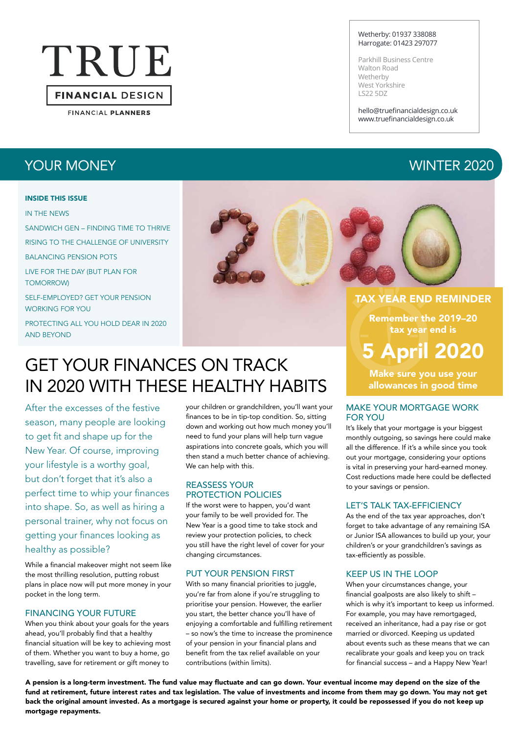# TRUE **FINANCIAL DESIGN**

**FINANCIAL PLANNERS** 

## YOUR MONEY WINTER 2020

#### INSIDE THIS ISSUE

#### IN THE NEWS

SANDWICH GEN – FINDING TIME TO THRIVE RISING TO THE CHALLENGE OF UNIVERSITY BALANCING PENSION POTS LIVE FOR THE DAY (BUT PLAN FOR TOMORROW)

SELF-EMPLOYED? GET YOUR PENSION WORKING FOR YOU

PROTECTING ALL YOU HOLD DEAR IN 2020 AND BEYOND



GET YOUR FINANCES ON TRACK IN 2020 WITH THESE HEALTHY HABITS

After the excesses of the festive season, many people are looking to get fit and shape up for the New Year. Of course, improving your lifestyle is a worthy goal, but don't forget that it's also a perfect time to whip your finances into shape. So, as well as hiring a personal trainer, why not focus on getting your finances looking as healthy as possible?

While a financial makeover might not seem like the most thrilling resolution, putting robust plans in place now will put more money in your pocket in the long term.

#### FINANCING YOUR FUTURE

When you think about your goals for the years ahead, you'll probably find that a healthy financial situation will be key to achieving most of them. Whether you want to buy a home, go travelling, save for retirement or gift money to

your children or grandchildren, you'll want your finances to be in tip-top condition. So, sitting down and working out how much money you'll need to fund your plans will help turn vague aspirations into concrete goals, which you will then stand a much better chance of achieving. We can help with this.

#### REASSESS YOUR PROTECTION POLICIES

If the worst were to happen, you'd want your family to be well provided for. The New Year is a good time to take stock and review your protection policies, to check you still have the right level of cover for your changing circumstances.

#### PUT YOUR PENSION FIRST

With so many financial priorities to juggle, you're far from alone if you're struggling to prioritise your pension. However, the earlier you start, the better chance you'll have of enjoying a comfortable and fulfilling retirement – so now's the time to increase the prominence of your pension in your financial plans and benefit from the tax relief available on your contributions (within limits).

#### Wetherby: 01937 338088 Harrogate: 01423 297077

Parkhill Business Centre Walton Road Wetherby West Yorkshire LS22 5DZ

hello@truefinancialdesign.co.uk www.truefinancialdesign.co.uk

Remember the 2019–20 tax year end is

# 5 April 2020

Make sure you use your allowances in good time

#### MAKE YOUR MORTGAGE WORK FOR YOU

It's likely that your mortgage is your biggest monthly outgoing, so savings here could make all the difference. If it's a while since you took out your mortgage, considering your options is vital in preserving your hard-earned money. Cost reductions made here could be deflected to your savings or pension.

#### LET'S TALK TAX-EFFICIENCY

As the end of the tax year approaches, don't forget to take advantage of any remaining ISA or Junior ISA allowances to build up your, your children's or your grandchildren's savings as tax-efficiently as possible.

#### KEEP US IN THE LOOP

When your circumstances change, your financial goalposts are also likely to shift – which is why it's important to keep us informed. For example, you may have remortgaged, received an inheritance, had a pay rise or got married or divorced. Keeping us updated about events such as these means that we can recalibrate your goals and keep you on track for financial success – and a Happy New Year!

A pension is a long-term investment. The fund value may fluctuate and can go down. Your eventual income may depend on the size of the fund at retirement, future interest rates and tax legislation. The value of investments and income from them may go down. You may not get back the original amount invested. As a mortgage is secured against your home or property, it could be repossessed if you do not keep up mortgage repayments.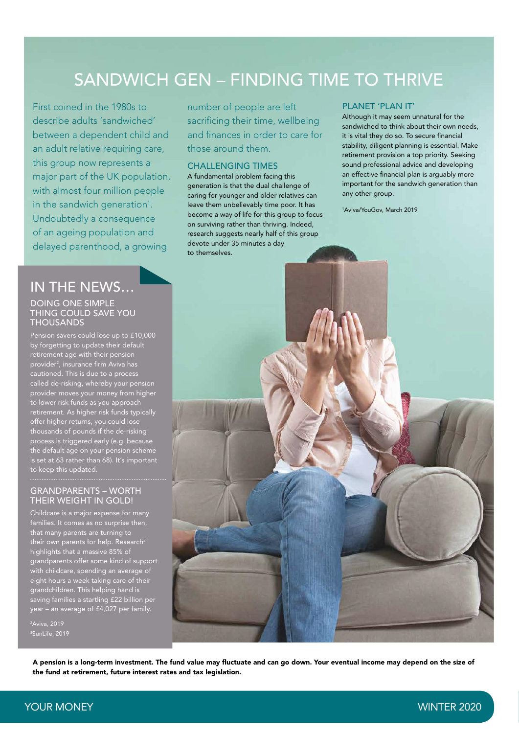# SANDWICH GEN – FINDING TIME TO THRIVE

First coined in the 1980s to describe adults 'sandwiched' between a dependent child and an adult relative requiring care, this group now represents a major part of the UK population, with almost four million people in the sandwich generation<sup>1</sup>. Undoubtedly a consequence of an ageing population and delayed parenthood, a growing

## IN THE NEWS…

#### DOING ONE SIMPLE THING COULD SAVE YOU THOUSANDS

Pension savers could lose up to £10,000 by forgetting to update their default retirement age with their pension provider2 , insurance firm Aviva has cautioned. This is due to a process called de-risking, whereby your pension provider moves your money from higher to lower risk funds as you approach retirement. As higher risk funds typically offer higher returns, you could lose thousands of pounds if the de-risking process is triggered early (e.g. becaus the default age on your pension scheme is set at 63 rather than 68). It's important to keep this updated.

#### GRANDPARENTS – WORTH THEIR WEIGHT IN GOLD!

Childcare is a major expense for many families. It comes as no surprise then, that many parents are turning to their own parents for help. Research $^3$ highlights that a massive 85% of grandparents offer some kind of support with childcare, spending an average of eight hours a week taking care of their  $\frac{3}{5}$  arandchildren. This helping hand is saving families a startling £22 billion per year – an average of £4,027 per family.

2 Aviva, 2019 3 SunLife, 2019 number of people are left sacrificing their time, wellbeing and finances in order to care for those around them.

#### CHALLENGING TIMES

A fundamental problem facing this generation is that the dual challenge of caring for younger and older relatives can leave them unbelievably time poor. It has become a way of life for this group to focus on surviving rather than thriving. Indeed, research suggests nearly half of this group devote under 35 minutes a day to themselves.

#### PLANET 'PLAN IT'

Although it may seem unnatural for the sandwiched to think about their own needs, it is vital they do so. To secure financial stability, diligent planning is essential. Make retirement provision a top priority. Seeking sound professional advice and developing an effective financial plan is arguably more important for the sandwich generation than any other group.

1 Aviva/YouGov, March 2019



A pension is a long-term investment. The fund value may fluctuate and can go down. Your eventual income may depend on the size of the fund at retirement, future interest rates and tax legislation.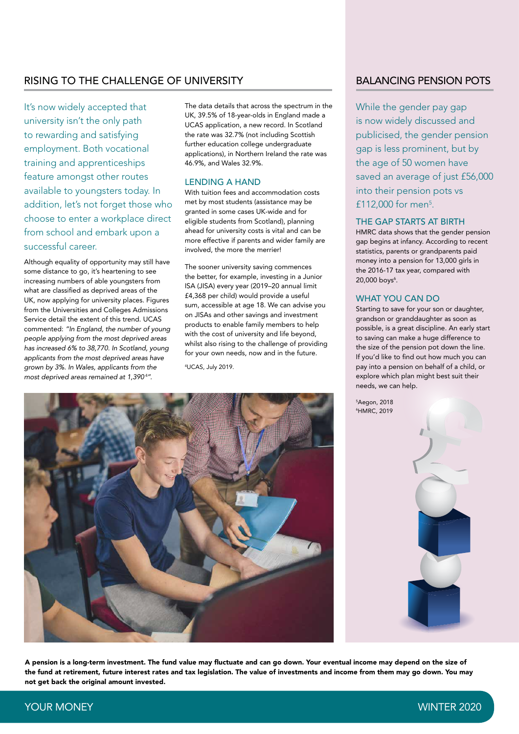#### RISING TO THE CHALLENGE OF UNIVERSITY BALANCING PENSION POTS

It's now widely accepted that university isn't the only path to rewarding and satisfying employment. Both vocational training and apprenticeships feature amongst other routes available to youngsters today. In addition, let's not forget those who choose to enter a workplace direct from school and embark upon a successful career.

Although equality of opportunity may still have some distance to go, it's heartening to see increasing numbers of able youngsters from what are classified as deprived areas of the UK, now applying for university places. Figures from the Universities and Colleges Admissions Service detail the extent of this trend. UCAS commented: *"In England, the number of young people applying from the most deprived areas has increased 6% to 38,770. In Scotland, young applicants from the most deprived areas have grown by 3%. In Wales, applicants from the*  most deprived areas remained at 1,390<sup>4</sup>".

The data details that across the spectrum in the UK, 39.5% of 18-year-olds in England made a UCAS application, a new record. In Scotland the rate was 32.7% (not including Scottish further education college undergraduate applications), in Northern Ireland the rate was 46.9%, and Wales 32.9%.

#### LENDING A HAND

With tuition fees and accommodation costs met by most students (assistance may be granted in some cases UK-wide and for eligible students from Scotland), planning ahead for university costs is vital and can be more effective if parents and wider family are involved, the more the merrier!

The sooner university saving commences the better, for example, investing in a Junior ISA (JISA) every year (2019–20 annual limit £4,368 per child) would provide a useful sum, accessible at age 18. We can advise you on JISAs and other savings and investment products to enable family members to help with the cost of university and life beyond, whilst also rising to the challenge of providing for your own needs, now and in the future.

4 UCAS, July 2019.



While the gender pay gap is now widely discussed and publicised, the gender pension gap is less prominent, but by the age of 50 women have saved an average of just £56,000 into their pension pots vs £112,000 for men<sup>5</sup>.

#### THE GAP STARTS AT BIRTH

HMRC data shows that the gender pension gap begins at infancy. According to recent statistics, parents or grandparents paid money into a pension for 13,000 girls in the 2016-17 tax year, compared with 20,000 boys<sup>6</sup>.

#### WHAT YOU CAN DO

Starting to save for your son or daughter, grandson or granddaughter as soon as possible, is a great discipline. An early start to saving can make a huge difference to the size of the pension pot down the line. If you'd like to find out how much you can pay into a pension on behalf of a child, or explore which plan might best suit their needs, we can help.





A pension is a long-term investment. The fund value may fluctuate and can go down. Your eventual income may depend on the size of the fund at retirement, future interest rates and tax legislation. The value of investments and income from them may go down. You may not get back the original amount invested.